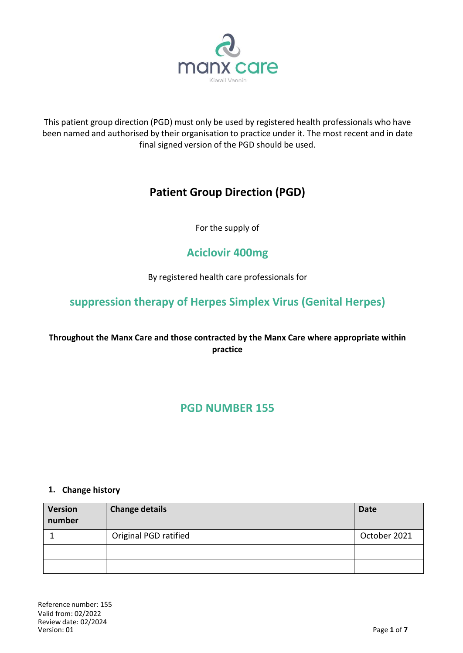

This patient group direction (PGD) must only be used by registered health professionals who have been named and authorised by their organisation to practice under it. The most recent and in date final signed version of the PGD should be used.

# **Patient Group Direction (PGD)**

For the supply of

# **Aciclovir 400mg**

By registered health care professionals for

# **suppression therapy of Herpes Simplex Virus (Genital Herpes)**

# **Throughout the Manx Care and those contracted by the Manx Care where appropriate within practice**

# **PGD NUMBER 155**

#### **1. Change history**

| <b>Version</b><br>number | <b>Change details</b> | <b>Date</b>  |
|--------------------------|-----------------------|--------------|
|                          | Original PGD ratified | October 2021 |
|                          |                       |              |
|                          |                       |              |

Reference number: 155 Valid from: 02/2022 Review date: 02/2024  $V$ ersion: 01 **Page 1** of **7**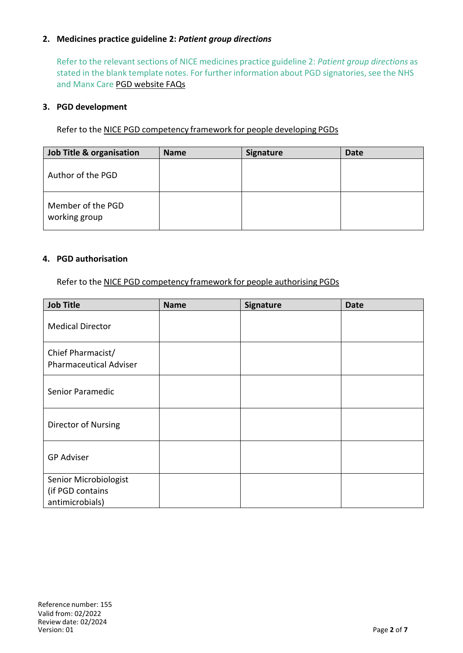## **2. Medicines practice guideline 2:** *Patient group directions*

Refer to the relevant sections of NICE medicines practice guideline 2: *Patient group directions* as stated in the blank template notes. For further information about PGD signatories, see the NHS and Manx Care PGD [website](http://www.medicinesresources.nhs.uk/en/Communities/NHS/PGDs/FAQs/Questions-about-signatories-of-PGDs2) FAQs

#### **3. PGD development**

Refer to the NICE PGD [competency](http://www.nice.org.uk/guidance/mpg2/resources/mpg2-patient-group-directions3) framework for people developing PGDs

| Job Title & organisation           | <b>Name</b> | <b>Signature</b> | <b>Date</b> |
|------------------------------------|-------------|------------------|-------------|
| Author of the PGD                  |             |                  |             |
| Member of the PGD<br>working group |             |                  |             |

#### **4. PGD authorisation**

Refer to the NICE PGD [competency](http://www.nice.org.uk/guidance/mpg2/resources/mpg2-patient-group-directions5) framework for people authorising PGDs

| <b>Job Title</b>                                   | <b>Name</b> | Signature | <b>Date</b> |
|----------------------------------------------------|-------------|-----------|-------------|
| <b>Medical Director</b>                            |             |           |             |
| Chief Pharmacist/<br><b>Pharmaceutical Adviser</b> |             |           |             |
| Senior Paramedic                                   |             |           |             |
| Director of Nursing                                |             |           |             |
| <b>GP Adviser</b>                                  |             |           |             |
| Senior Microbiologist<br>(if PGD contains          |             |           |             |
| antimicrobials)                                    |             |           |             |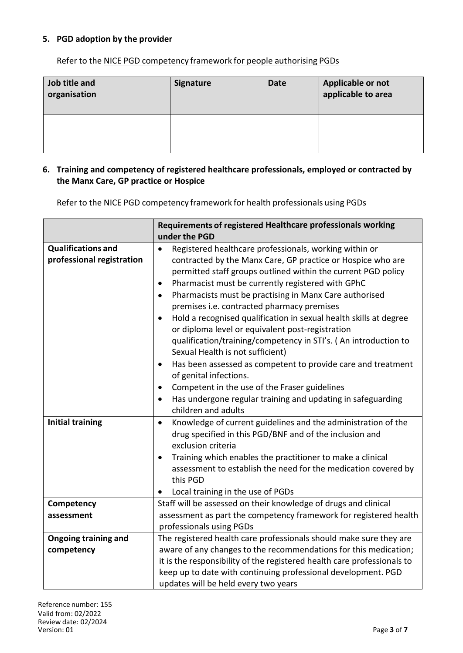### **5. PGD adoption by the provider**

Refer to the NICE PGD [competency](http://www.nice.org.uk/guidance/mpg2/resources/mpg2-patient-group-directions5) framework for people authorising PGDs

| Job title and<br>organisation | <b>Signature</b> | <b>Date</b> | Applicable or not<br>applicable to area |
|-------------------------------|------------------|-------------|-----------------------------------------|
|                               |                  |             |                                         |

#### **6. Training and competency of registered healthcare professionals, employed or contracted by the Manx Care, GP practice or Hospice**

Refer to the NICE PGD competency framework for health professionals using PGDs

|                             | Requirements of registered Healthcare professionals working                |  |  |
|-----------------------------|----------------------------------------------------------------------------|--|--|
|                             | under the PGD                                                              |  |  |
| <b>Qualifications and</b>   | Registered healthcare professionals, working within or<br>$\bullet$        |  |  |
| professional registration   | contracted by the Manx Care, GP practice or Hospice who are                |  |  |
|                             | permitted staff groups outlined within the current PGD policy              |  |  |
|                             | Pharmacist must be currently registered with GPhC<br>٠                     |  |  |
|                             | Pharmacists must be practising in Manx Care authorised<br>$\bullet$        |  |  |
|                             | premises i.e. contracted pharmacy premises                                 |  |  |
|                             | Hold a recognised qualification in sexual health skills at degree          |  |  |
|                             | or diploma level or equivalent post-registration                           |  |  |
|                             | qualification/training/competency in STI's. (An introduction to            |  |  |
|                             | Sexual Health is not sufficient)                                           |  |  |
|                             | Has been assessed as competent to provide care and treatment<br>$\bullet$  |  |  |
|                             | of genital infections.                                                     |  |  |
|                             | Competent in the use of the Fraser guidelines<br>٠                         |  |  |
|                             | Has undergone regular training and updating in safeguarding<br>$\bullet$   |  |  |
|                             | children and adults                                                        |  |  |
| <b>Initial training</b>     | Knowledge of current guidelines and the administration of the<br>$\bullet$ |  |  |
|                             | drug specified in this PGD/BNF and of the inclusion and                    |  |  |
|                             | exclusion criteria                                                         |  |  |
|                             | Training which enables the practitioner to make a clinical                 |  |  |
|                             | assessment to establish the need for the medication covered by             |  |  |
|                             | this PGD                                                                   |  |  |
|                             | Local training in the use of PGDs<br>$\bullet$                             |  |  |
| Competency                  | Staff will be assessed on their knowledge of drugs and clinical            |  |  |
| assessment                  | assessment as part the competency framework for registered health          |  |  |
|                             | professionals using PGDs                                                   |  |  |
| <b>Ongoing training and</b> | The registered health care professionals should make sure they are         |  |  |
| competency                  | aware of any changes to the recommendations for this medication;           |  |  |
|                             | it is the responsibility of the registered health care professionals to    |  |  |
|                             | keep up to date with continuing professional development. PGD              |  |  |
|                             | updates will be held every two years                                       |  |  |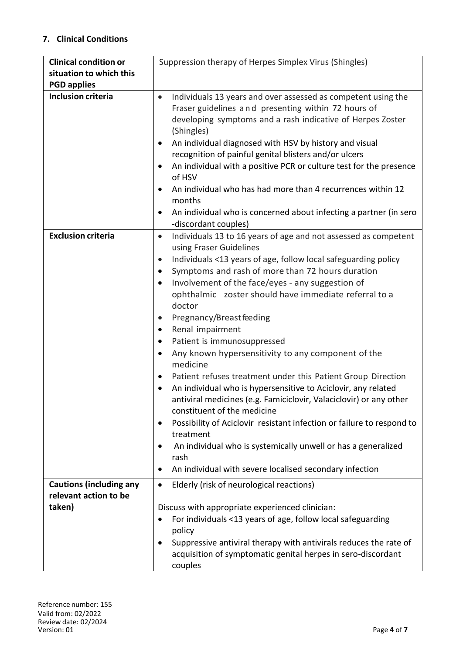# **7. Clinical Conditions**

| <b>Clinical condition or</b>   | Suppression therapy of Herpes Simplex Virus (Shingles)                                                                                                                                          |  |  |
|--------------------------------|-------------------------------------------------------------------------------------------------------------------------------------------------------------------------------------------------|--|--|
| situation to which this        |                                                                                                                                                                                                 |  |  |
| <b>PGD applies</b>             |                                                                                                                                                                                                 |  |  |
| <b>Inclusion criteria</b>      | Individuals 13 years and over assessed as competent using the<br>$\bullet$<br>Fraser guidelines and presenting within 72 hours of<br>developing symptoms and a rash indicative of Herpes Zoster |  |  |
|                                | (Shingles)<br>An individual diagnosed with HSV by history and visual<br>٠<br>recognition of painful genital blisters and/or ulcers                                                              |  |  |
|                                | An individual with a positive PCR or culture test for the presence<br>of HSV                                                                                                                    |  |  |
|                                | An individual who has had more than 4 recurrences within 12<br>months                                                                                                                           |  |  |
|                                | An individual who is concerned about infecting a partner (in sero<br>-discordant couples)                                                                                                       |  |  |
| <b>Exclusion criteria</b>      | Individuals 13 to 16 years of age and not assessed as competent<br>$\bullet$<br>using Fraser Guidelines                                                                                         |  |  |
|                                | Individuals <13 years of age, follow local safeguarding policy<br>$\bullet$                                                                                                                     |  |  |
|                                | Symptoms and rash of more than 72 hours duration<br>$\bullet$                                                                                                                                   |  |  |
|                                | Involvement of the face/eyes - any suggestion of                                                                                                                                                |  |  |
|                                | ophthalmic zoster should have immediate referral to a                                                                                                                                           |  |  |
|                                | doctor                                                                                                                                                                                          |  |  |
|                                | Pregnancy/Breast feeding<br>$\bullet$<br>Renal impairment                                                                                                                                       |  |  |
|                                | Patient is immunosuppressed<br>٠                                                                                                                                                                |  |  |
|                                | Any known hypersensitivity to any component of the                                                                                                                                              |  |  |
|                                | medicine                                                                                                                                                                                        |  |  |
|                                | Patient refuses treatment under this Patient Group Direction                                                                                                                                    |  |  |
|                                | An individual who is hypersensitive to Aciclovir, any related                                                                                                                                   |  |  |
|                                | antiviral medicines (e.g. Famiciclovir, Valaciclovir) or any other<br>constituent of the medicine                                                                                               |  |  |
|                                | Possibility of Aciclovir resistant infection or failure to respond to<br>treatment                                                                                                              |  |  |
|                                | An individual who is systemically unwell or has a generalized<br>rash                                                                                                                           |  |  |
|                                | An individual with severe localised secondary infection                                                                                                                                         |  |  |
| <b>Cautions (including any</b> | Elderly (risk of neurological reactions)<br>$\bullet$                                                                                                                                           |  |  |
| relevant action to be          |                                                                                                                                                                                                 |  |  |
| taken)                         | Discuss with appropriate experienced clinician:                                                                                                                                                 |  |  |
|                                | For individuals <13 years of age, follow local safeguarding                                                                                                                                     |  |  |
|                                | policy                                                                                                                                                                                          |  |  |
|                                | Suppressive antiviral therapy with antivirals reduces the rate of<br>acquisition of symptomatic genital herpes in sero-discordant                                                               |  |  |
|                                | couples                                                                                                                                                                                         |  |  |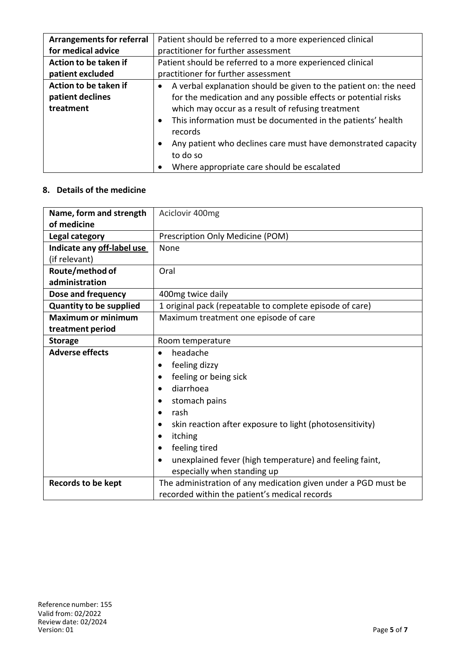| <b>Arrangements for referral</b> | Patient should be referred to a more experienced clinical                           |  |  |
|----------------------------------|-------------------------------------------------------------------------------------|--|--|
| for medical advice               | practitioner for further assessment                                                 |  |  |
| Action to be taken if            | Patient should be referred to a more experienced clinical                           |  |  |
| patient excluded                 | practitioner for further assessment                                                 |  |  |
| Action to be taken if            | A verbal explanation should be given to the patient on: the need                    |  |  |
| patient declines                 | for the medication and any possible effects or potential risks                      |  |  |
| treatment                        | which may occur as a result of refusing treatment                                   |  |  |
|                                  | This information must be documented in the patients' health<br>$\bullet$<br>records |  |  |
|                                  | Any patient who declines care must have demonstrated capacity                       |  |  |
|                                  | to do so                                                                            |  |  |
|                                  | Where appropriate care should be escalated                                          |  |  |

#### **8. Details of the medicine**

| Name, form and strength        | Aciclovir 400mg                                                       |  |  |
|--------------------------------|-----------------------------------------------------------------------|--|--|
| of medicine                    |                                                                       |  |  |
| Legal category                 | Prescription Only Medicine (POM)                                      |  |  |
| Indicate any off-label use     | None                                                                  |  |  |
| (if relevant)                  |                                                                       |  |  |
| Route/method of                | Oral                                                                  |  |  |
| administration                 |                                                                       |  |  |
| Dose and frequency             | 400mg twice daily                                                     |  |  |
| <b>Quantity to be supplied</b> | 1 original pack (repeatable to complete episode of care)              |  |  |
| <b>Maximum or minimum</b>      | Maximum treatment one episode of care                                 |  |  |
| treatment period               |                                                                       |  |  |
| <b>Storage</b>                 | Room temperature                                                      |  |  |
| <b>Adverse effects</b>         | headache                                                              |  |  |
|                                | feeling dizzy                                                         |  |  |
|                                | feeling or being sick                                                 |  |  |
|                                | diarrhoea                                                             |  |  |
|                                | stomach pains                                                         |  |  |
|                                | rash<br>٠                                                             |  |  |
|                                | skin reaction after exposure to light (photosensitivity)<br>$\bullet$ |  |  |
|                                | itching                                                               |  |  |
|                                | feeling tired<br>$\bullet$                                            |  |  |
|                                | unexplained fever (high temperature) and feeling faint,<br>$\bullet$  |  |  |
|                                | especially when standing up                                           |  |  |
| <b>Records to be kept</b>      | The administration of any medication given under a PGD must be        |  |  |
|                                | recorded within the patient's medical records                         |  |  |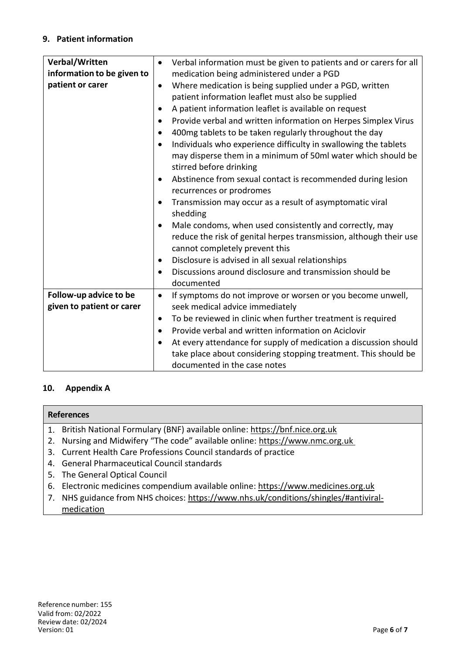## **9. Patient information**

| Verbal/Written             | $\bullet$ | Verbal information must be given to patients and or carers for all |  |
|----------------------------|-----------|--------------------------------------------------------------------|--|
| information to be given to |           | medication being administered under a PGD                          |  |
| patient or carer           | $\bullet$ | Where medication is being supplied under a PGD, written            |  |
|                            |           | patient information leaflet must also be supplied                  |  |
|                            |           | A patient information leaflet is available on request              |  |
|                            |           | Provide verbal and written information on Herpes Simplex Virus     |  |
|                            | $\bullet$ | 400mg tablets to be taken regularly throughout the day             |  |
|                            |           | Individuals who experience difficulty in swallowing the tablets    |  |
|                            |           | may disperse them in a minimum of 50ml water which should be       |  |
|                            |           | stirred before drinking                                            |  |
|                            |           | Abstinence from sexual contact is recommended during lesion        |  |
|                            |           | recurrences or prodromes                                           |  |
|                            |           | Transmission may occur as a result of asymptomatic viral           |  |
|                            |           | shedding                                                           |  |
|                            |           | Male condoms, when used consistently and correctly, may            |  |
|                            |           | reduce the risk of genital herpes transmission, although their use |  |
|                            |           | cannot completely prevent this                                     |  |
|                            | $\bullet$ | Disclosure is advised in all sexual relationships                  |  |
|                            | $\bullet$ | Discussions around disclosure and transmission should be           |  |
|                            |           | documented                                                         |  |
| Follow-up advice to be     | $\bullet$ | If symptoms do not improve or worsen or you become unwell,         |  |
| given to patient or carer  |           | seek medical advice immediately                                    |  |
|                            | $\bullet$ | To be reviewed in clinic when further treatment is required        |  |
|                            |           | Provide verbal and written information on Aciclovir                |  |
|                            |           | At every attendance for supply of medication a discussion should   |  |
|                            |           | take place about considering stopping treatment. This should be    |  |
|                            |           | documented in the case notes                                       |  |

## **10. Appendix A**

#### **References**

- 1. British National Formulary (BNF) available online: https://bnf.nice.org.uk
- 2. Nursing and Midwifery "The code" available online: https://www.nmc.org.uk
- 3. Current Health Care Professions Council standards of practice
- 4. General Pharmaceutical Council standards
- 5. The General Optical Council
- 6. Electronic medicines compendium available online: https://www.medicines.org.uk
- 7. NHS guidance from NHS choices: https://www.nhs.uk/conditions/shingles/#antiviralmedication